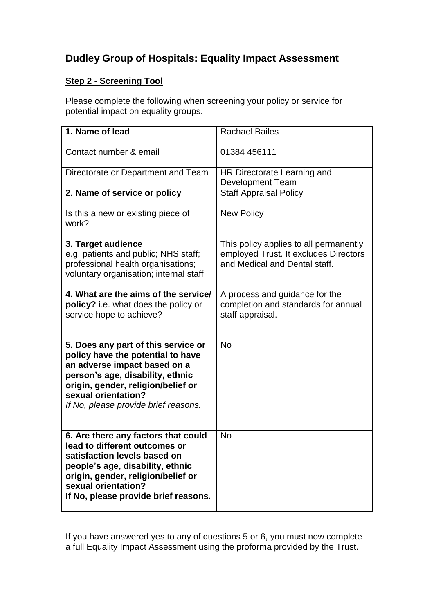## **Dudley Group of Hospitals: Equality Impact Assessment**

## **Step 2 - Screening Tool**

Please complete the following when screening your policy or service for potential impact on equality groups.

| 1. Name of lead                                                                                                                                                                                                                                   | <b>Rachael Bailes</b>                                                                                            |
|---------------------------------------------------------------------------------------------------------------------------------------------------------------------------------------------------------------------------------------------------|------------------------------------------------------------------------------------------------------------------|
| Contact number & email                                                                                                                                                                                                                            | 01384 456111                                                                                                     |
| Directorate or Department and Team                                                                                                                                                                                                                | HR Directorate Learning and<br><b>Development Team</b>                                                           |
| 2. Name of service or policy                                                                                                                                                                                                                      | <b>Staff Appraisal Policy</b>                                                                                    |
| Is this a new or existing piece of<br>work?                                                                                                                                                                                                       | <b>New Policy</b>                                                                                                |
| 3. Target audience<br>e.g. patients and public; NHS staff;<br>professional health organisations;<br>voluntary organisation; internal staff                                                                                                        | This policy applies to all permanently<br>employed Trust. It excludes Directors<br>and Medical and Dental staff. |
| 4. What are the aims of the service/<br>policy? i.e. what does the policy or<br>service hope to achieve?                                                                                                                                          | A process and guidance for the<br>completion and standards for annual<br>staff appraisal.                        |
| 5. Does any part of this service or<br>policy have the potential to have<br>an adverse impact based on a<br>person's age, disability, ethnic<br>origin, gender, religion/belief or<br>sexual orientation?<br>If No, please provide brief reasons. | <b>No</b>                                                                                                        |
| 6. Are there any factors that could<br>lead to different outcomes or<br>satisfaction levels based on<br>people's age, disability, ethnic<br>origin, gender, religion/belief or<br>sexual orientation?<br>If No, please provide brief reasons.     | <b>No</b>                                                                                                        |

If you have answered yes to any of questions 5 or 6, you must now complete a full Equality Impact Assessment using the proforma provided by the Trust.